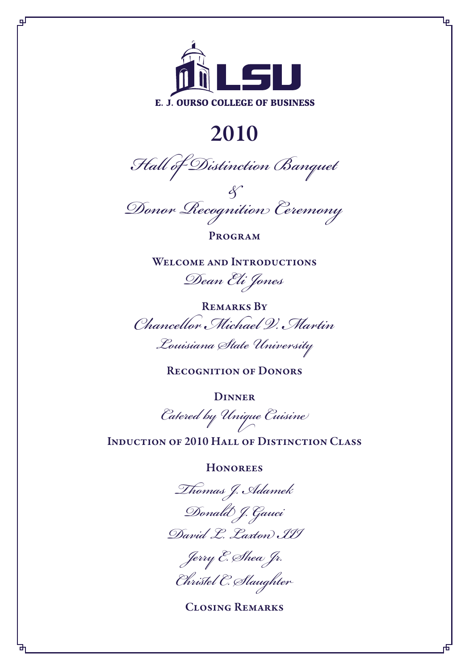

qГ

# 2010

*Hall of Distinction Banquet*

*& Donor Recognition Ceremony*

**PROGRAM** 

WELCOME AND INTRODUCTIONS

*Dean Eli Jones*

Remarks By *Chancellor Michael V. Martin*

*Louisiana State University*

RECOGNITION OF DONORS

**DINNER** 

*Catered by Unique Cuisine*

Induction of 2010 Hall of Distinction Class

**HONOREES** 

*Thomas J. Adamek*

*Donald J. Gauci David L. Laxton III*

*Jerry E. Shea Jr. Christel C. Slaughter*

Closing Remarks

Ļρ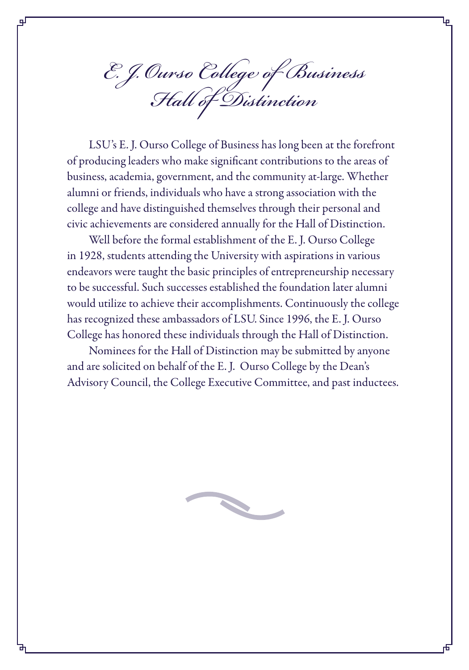*E. J. Ourso College of Business Hall of Distinction*

LSU's E. J. Ourso College of Business has long been at the forefront of producing leaders who make significant contributions to the areas of business, academia, government, and the community at-large. Whether alumni or friends, individuals who have a strong association with the college and have distinguished themselves through their personal and civic achievements are considered annually for the Hall of Distinction.

Well before the formal establishment of the E. J. Ourso College in 1928, students attending the University with aspirations in various endeavors were taught the basic principles of entrepreneurship necessary to be successful. Such successes established the foundation later alumni would utilize to achieve their accomplishments. Continuously the college has recognized these ambassadors of LSU. Since 1996, the E. J. Ourso College has honored these individuals through the Hall of Distinction.

Nominees for the Hall of Distinction may be submitted by anyone and are solicited on behalf of the E. J. Ourso College by the Dean's Advisory Council, the College Executive Committee, and past inductees.

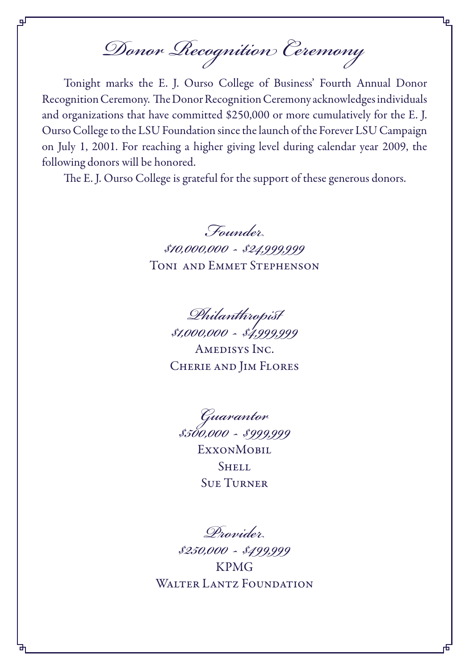*Donor Recognition Ceremony*

qГ

Tonight marks the E. J. Ourso College of Business' Fourth Annual Donor Recognition Ceremony. The Donor Recognition Ceremony acknowledges individuals and organizations that have committed \$250,000 or more cumulatively for the E. J. Ourso College to the LSU Foundation since the launch of the Forever LSU Campaign on July 1, 2001. For reaching a higher giving level during calendar year 2009, the following donors will be honored.

The E. J. Ourso College is grateful for the support of these generous donors.

*Founder \$10,000,000 - \$24,999,999* Toni and Emmet Stephenson

> *Philanthropist \$1,000,000 - \$4,999,999* Amedisys Inc. Cherie and Jim Flores

*Guarantor \$500,000 - \$999,999* **EXXONMOBIL** SHELL Sue Turner

*Provider \$250,000 - \$499,999* KPMG WALTER LANTZ FOUNDATION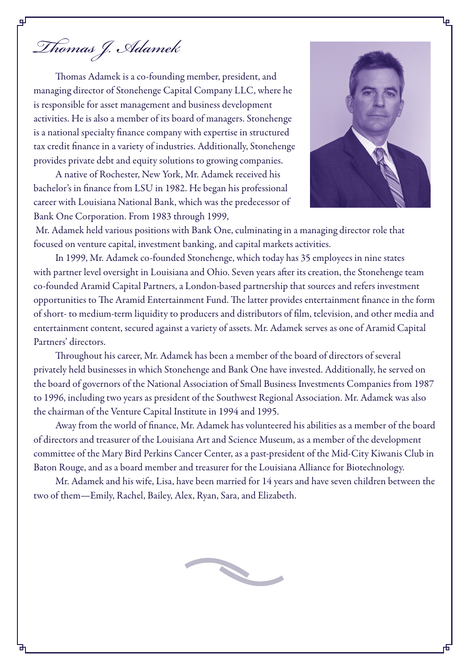*Thomas J. Adamek*

Thomas Adamek is a co-founding member, president, and managing director of Stonehenge Capital Company LLC, where he is responsible for asset management and business development activities. He is also a member of its board of managers. Stonehenge is a national specialty finance company with expertise in structured tax credit finance in a variety of industries. Additionally, Stonehenge provides private debt and equity solutions to growing companies.

A native of Rochester, New York, Mr. Adamek received his bachelor's in finance from LSU in 1982. He began his professional career with Louisiana National Bank, which was the predecessor of Bank One Corporation. From 1983 through 1999,



 Mr. Adamek held various positions with Bank One, culminating in a managing director role that focused on venture capital, investment banking, and capital markets activities.

In 1999, Mr. Adamek co-founded Stonehenge, which today has 35 employees in nine states with partner level oversight in Louisiana and Ohio. Seven years after its creation, the Stonehenge team co-founded Aramid Capital Partners, a London-based partnership that sources and refers investment opportunities to The Aramid Entertainment Fund. The latter provides entertainment finance in the form of short- to medium-term liquidity to producers and distributors of film, television, and other media and entertainment content, secured against a variety of assets. Mr. Adamek serves as one of Aramid Capital Partners' directors.

Throughout his career, Mr. Adamek has been a member of the board of directors of several privately held businesses in which Stonehenge and Bank One have invested. Additionally, he served on the board of governors of the National Association of Small Business Investments Companies from 1987 to 1996, including two years as president of the Southwest Regional Association. Mr. Adamek was also the chairman of the Venture Capital Institute in 1994 and 1995.

Away from the world of finance, Mr. Adamek has volunteered his abilities as a member of the board of directors and treasurer of the Louisiana Art and Science Museum, as a member of the development committee of the Mary Bird Perkins Cancer Center, as a past-president of the Mid-City Kiwanis Club in Baton Rouge, and as a board member and treasurer for the Louisiana Alliance for Biotechnology.

Mr. Adamek and his wife, Lisa, have been married for 14 years and have seven children between the two of them—Emily, Rachel, Bailey, Alex, Ryan, Sara, and Elizabeth.

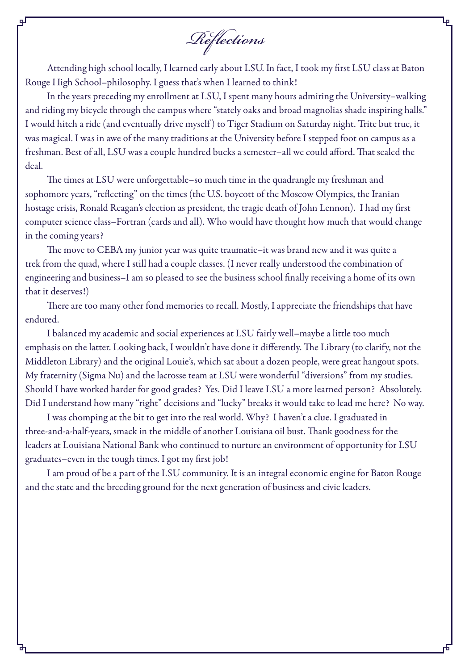*Reflections*

Attending high school locally, I learned early about LSU. In fact, I took my first LSU class at Baton Rouge High School–philosophy. I guess that's when I learned to think!

In the years preceding my enrollment at LSU, I spent many hours admiring the University–walking and riding my bicycle through the campus where "stately oaks and broad magnolias shade inspiring halls." I would hitch a ride (and eventually drive myself ) to Tiger Stadium on Saturday night. Trite but true, it was magical. I was in awe of the many traditions at the University before I stepped foot on campus as a freshman. Best of all, LSU was a couple hundred bucks a semester–all we could afford. That sealed the deal.

The times at LSU were unforgettable–so much time in the quadrangle my freshman and sophomore years, "reflecting" on the times (the U.S. boycott of the Moscow Olympics, the Iranian hostage crisis, Ronald Reagan's election as president, the tragic death of John Lennon). I had my first computer science class–Fortran (cards and all). Who would have thought how much that would change in the coming years?

The move to CEBA my junior year was quite traumatic–it was brand new and it was quite a trek from the quad, where I still had a couple classes. (I never really understood the combination of engineering and business–I am so pleased to see the business school finally receiving a home of its own that it deserves!)

There are too many other fond memories to recall. Mostly, I appreciate the friendships that have endured.

I balanced my academic and social experiences at LSU fairly well–maybe a little too much emphasis on the latter. Looking back, I wouldn't have done it differently. The Library (to clarify, not the Middleton Library) and the original Louie's, which sat about a dozen people, were great hangout spots. My fraternity (Sigma Nu) and the lacrosse team at LSU were wonderful "diversions" from my studies. Should I have worked harder for good grades? Yes. Did I leave LSU a more learned person? Absolutely. Did I understand how many "right" decisions and "lucky" breaks it would take to lead me here? No way.

I was chomping at the bit to get into the real world. Why? I haven't a clue. I graduated in three-and-a-half-years, smack in the middle of another Louisiana oil bust. Thank goodness for the leaders at Louisiana National Bank who continued to nurture an environment of opportunity for LSU graduates–even in the tough times. I got my first job!

I am proud of be a part of the LSU community. It is an integral economic engine for Baton Rouge and the state and the breeding ground for the next generation of business and civic leaders.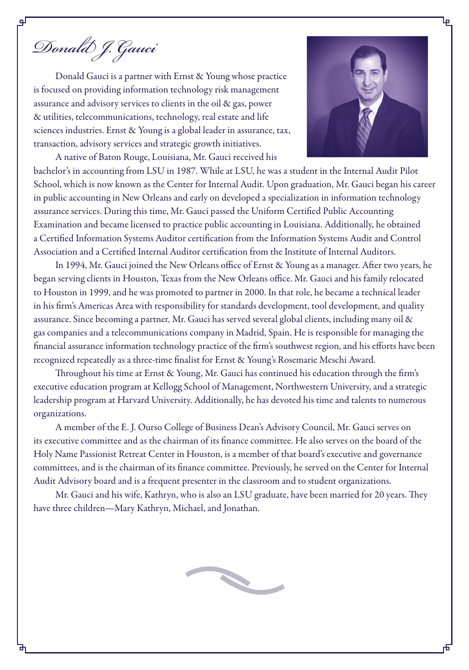*Donald J. Gauci*

Donald Gauci is a partner with Ernst & Young whose practice is focused on providing information technology risk management assurance and advisory services to clients in the oil & gas, power & utilities, telecommunications, technology, real estate and life sciences industries. Ernst & Young is a global leader in assurance, tax, transaction, advisory services and strategic growth initiatives.

A native of Baton Rouge, Louisiana, Mr. Gauci received his



bachelor's in accounting from LSU in 1987. While at LSU, he was a student in the Internal Audit Pilot School, which is now known as the Center for Internal Audit. Upon graduation, Mr. Gauci began his career in public accounting in New Orleans and early on developed a specialization in information technology assurance services. During this time, Mr. Gauci passed the Uniform Certified Public Accounting Examination and became licensed to practice public accounting in Louisiana. Additionally, he obtained a Certified Information Systems Auditor certification from the Information Systems Audit and Control Association and a Certified Internal Auditor certification from the Institute of Internal Auditors.

In 1994, Mr. Gauci joined the New Orleans office of Ernst & Young as a manager. After two years, he began serving clients in Houston, Texas from the New Orleans office. Mr. Gauci and his family relocated to Houston in 1999, and he was promoted to partner in 2000. In that role, he became a technical leader in his firm's Americas Area with responsibility for standards development, tool development, and quality assurance. Since becoming a partner, Mr. Gauci has served several global clients, including many oil & gas companies and a telecommunications company in Madrid, Spain. He is responsible for managing the financial assurance information technology practice of the firm's southwest region, and his efforts have been recognized repeatedly as a three-time finalist for Ernst & Young's Rosemarie Meschi Award.

Throughout his time at Ernst & Young, Mr. Gauci has continued his education through the firm's executive education program at Kellogg School of Management, Northwestern University, and a strategic leadership program at Harvard University. Additionally, he has devoted his time and talents to numerous organizations.

A member of the E. J. Ourso College of Business Dean's Advisory Council, Mr. Gauci serves on its executive committee and as the chairman of its finance committee. He also serves on the board of the Holy Name Passionist Retreat Center in Houston, is a member of that board's executive and governance committees, and is the chairman of its finance committee. Previously, he served on the Center for Internal Audit Advisory board and is a frequent presenter in the classroom and to student organizations.

Mr. Gauci and his wife, Kathryn, who is also an LSU graduate, have been married for 20 years. They have three children—Mary Kathryn, Michael, and Jonathan.

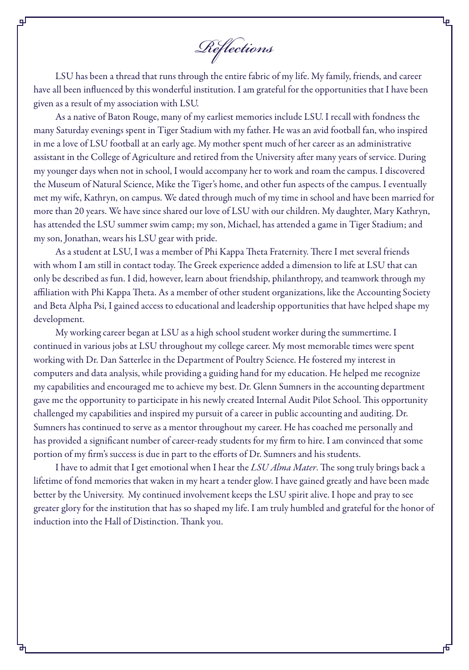*Reflections*

LSU has been a thread that runs through the entire fabric of my life. My family, friends, and career have all been influenced by this wonderful institution. I am grateful for the opportunities that I have been given as a result of my association with LSU.

As a native of Baton Rouge, many of my earliest memories include LSU. I recall with fondness the many Saturday evenings spent in Tiger Stadium with my father. He was an avid football fan, who inspired in me a love of LSU football at an early age. My mother spent much of her career as an administrative assistant in the College of Agriculture and retired from the University after many years of service. During my younger days when not in school, I would accompany her to work and roam the campus. I discovered the Museum of Natural Science, Mike the Tiger's home, and other fun aspects of the campus. I eventually met my wife, Kathryn, on campus. We dated through much of my time in school and have been married for more than 20 years. We have since shared our love of LSU with our children. My daughter, Mary Kathryn, has attended the LSU summer swim camp; my son, Michael, has attended a game in Tiger Stadium; and my son, Jonathan, wears his LSU gear with pride.

As a student at LSU, I was a member of Phi Kappa Theta Fraternity. There I met several friends with whom I am still in contact today. The Greek experience added a dimension to life at LSU that can only be described as fun. I did, however, learn about friendship, philanthropy, and teamwork through my affiliation with Phi Kappa Theta. As a member of other student organizations, like the Accounting Society and Beta Alpha Psi, I gained access to educational and leadership opportunities that have helped shape my development.

My working career began at LSU as a high school student worker during the summertime. I continued in various jobs at LSU throughout my college career. My most memorable times were spent working with Dr. Dan Satterlee in the Department of Poultry Science. He fostered my interest in computers and data analysis, while providing a guiding hand for my education. He helped me recognize my capabilities and encouraged me to achieve my best. Dr. Glenn Sumners in the accounting department gave me the opportunity to participate in his newly created Internal Audit Pilot School. This opportunity challenged my capabilities and inspired my pursuit of a career in public accounting and auditing. Dr. Sumners has continued to serve as a mentor throughout my career. He has coached me personally and has provided a significant number of career-ready students for my firm to hire. I am convinced that some portion of my firm's success is due in part to the efforts of Dr. Sumners and his students.

I have to admit that I get emotional when I hear the *LSU Alma Mater*. The song truly brings back a lifetime of fond memories that waken in my heart a tender glow. I have gained greatly and have been made better by the University. My continued involvement keeps the LSU spirit alive. I hope and pray to see greater glory for the institution that has so shaped my life. I am truly humbled and grateful for the honor of induction into the Hall of Distinction. Thank you.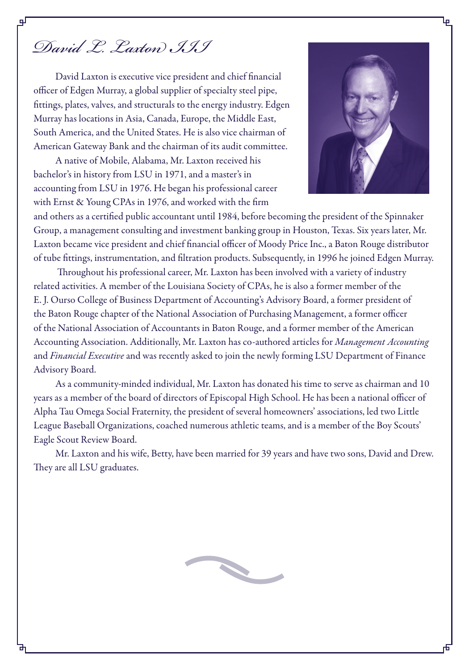# *David L. Laxton III*

цJ

David Laxton is executive vice president and chief financial officer of Edgen Murray, a global supplier of specialty steel pipe, fittings, plates, valves, and structurals to the energy industry. Edgen Murray has locations in Asia, Canada, Europe, the Middle East, South America, and the United States. He is also vice chairman of American Gateway Bank and the chairman of its audit committee.

A native of Mobile, Alabama, Mr. Laxton received his bachelor's in history from LSU in 1971, and a master's in accounting from LSU in 1976. He began his professional career with Ernst & Young CPAs in 1976, and worked with the firm



and others as a certified public accountant until 1984, before becoming the president of the Spinnaker Group, a management consulting and investment banking group in Houston, Texas. Six years later, Mr. Laxton became vice president and chief financial officer of Moody Price Inc., a Baton Rouge distributor of tube fittings, instrumentation, and filtration products. Subsequently, in 1996 he joined Edgen Murray.

 Throughout his professional career, Mr. Laxton has been involved with a variety of industry related activities. A member of the Louisiana Society of CPAs, he is also a former member of the E. J. Ourso College of Business Department of Accounting's Advisory Board, a former president of the Baton Rouge chapter of the National Association of Purchasing Management, a former officer of the National Association of Accountants in Baton Rouge, and a former member of the American Accounting Association. Additionally, Mr. Laxton has co-authored articles for *Management Accounting* and *Financial Executive* and was recently asked to join the newly forming LSU Department of Finance Advisory Board.

As a community-minded individual, Mr. Laxton has donated his time to serve as chairman and 10 years as a member of the board of directors of Episcopal High School. He has been a national officer of Alpha Tau Omega Social Fraternity, the president of several homeowners' associations, led two Little League Baseball Organizations, coached numerous athletic teams, and is a member of the Boy Scouts' Eagle Scout Review Board.

Mr. Laxton and his wife, Betty, have been married for 39 years and have two sons, David and Drew. They are all LSU graduates.

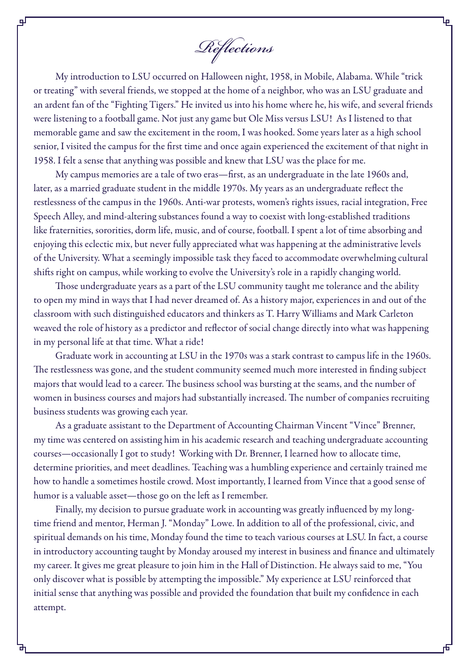*Reflections*

цI

My introduction to LSU occurred on Halloween night, 1958, in Mobile, Alabama. While "trick or treating" with several friends, we stopped at the home of a neighbor, who was an LSU graduate and an ardent fan of the "Fighting Tigers." He invited us into his home where he, his wife, and several friends were listening to a football game. Not just any game but Ole Miss versus LSU! As I listened to that memorable game and saw the excitement in the room, I was hooked. Some years later as a high school senior, I visited the campus for the first time and once again experienced the excitement of that night in 1958. I felt a sense that anything was possible and knew that LSU was the place for me.

My campus memories are a tale of two eras—first, as an undergraduate in the late 1960s and, later, as a married graduate student in the middle 1970s. My years as an undergraduate reflect the restlessness of the campus in the 1960s. Anti-war protests, women's rights issues, racial integration, Free Speech Alley, and mind-altering substances found a way to coexist with long-established traditions like fraternities, sororities, dorm life, music, and of course, football. I spent a lot of time absorbing and enjoying this eclectic mix, but never fully appreciated what was happening at the administrative levels of the University. What a seemingly impossible task they faced to accommodate overwhelming cultural shifts right on campus, while working to evolve the University's role in a rapidly changing world.

Those undergraduate years as a part of the LSU community taught me tolerance and the ability to open my mind in ways that I had never dreamed of. As a history major, experiences in and out of the classroom with such distinguished educators and thinkers as T. Harry Williams and Mark Carleton weaved the role of history as a predictor and reflector of social change directly into what was happening in my personal life at that time. What a ride!

Graduate work in accounting at LSU in the 1970s was a stark contrast to campus life in the 1960s. The restlessness was gone, and the student community seemed much more interested in finding subject majors that would lead to a career. The business school was bursting at the seams, and the number of women in business courses and majors had substantially increased. The number of companies recruiting business students was growing each year.

As a graduate assistant to the Department of Accounting Chairman Vincent "Vince" Brenner, my time was centered on assisting him in his academic research and teaching undergraduate accounting courses—occasionally I got to study! Working with Dr. Brenner, I learned how to allocate time, determine priorities, and meet deadlines. Teaching was a humbling experience and certainly trained me how to handle a sometimes hostile crowd. Most importantly, I learned from Vince that a good sense of humor is a valuable asset—those go on the left as I remember.

Finally, my decision to pursue graduate work in accounting was greatly influenced by my longtime friend and mentor, Herman J. "Monday" Lowe. In addition to all of the professional, civic, and spiritual demands on his time, Monday found the time to teach various courses at LSU. In fact, a course in introductory accounting taught by Monday aroused my interest in business and finance and ultimately my career. It gives me great pleasure to join him in the Hall of Distinction. He always said to me, "You only discover what is possible by attempting the impossible." My experience at LSU reinforced that initial sense that anything was possible and provided the foundation that built my confidence in each attempt.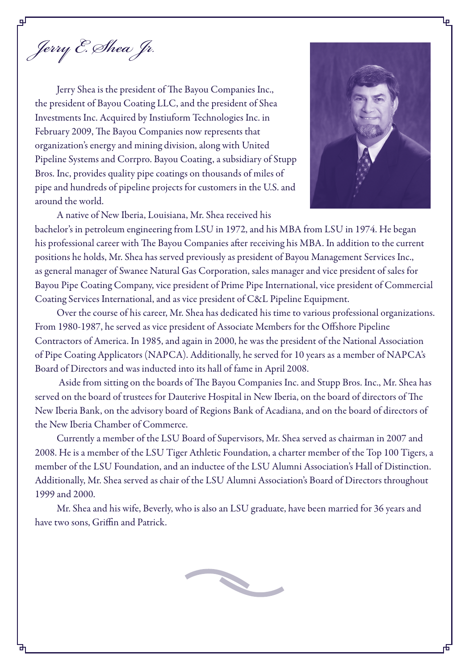*Jerry E. Shea Jr.*

Jerry Shea is the president of The Bayou Companies Inc., the president of Bayou Coating LLC, and the president of Shea Investments Inc. Acquired by Instiuform Technologies Inc. in February 2009, The Bayou Companies now represents that organization's energy and mining division, along with United Pipeline Systems and Corrpro. Bayou Coating, a subsidiary of Stupp Bros. Inc, provides quality pipe coatings on thousands of miles of pipe and hundreds of pipeline projects for customers in the U.S. and around the world.

A native of New Iberia, Louisiana, Mr. Shea received his



bachelor's in petroleum engineering from LSU in 1972, and his MBA from LSU in 1974. He began his professional career with The Bayou Companies after receiving his MBA. In addition to the current positions he holds, Mr. Shea has served previously as president of Bayou Management Services Inc., as general manager of Swanee Natural Gas Corporation, sales manager and vice president of sales for Bayou Pipe Coating Company, vice president of Prime Pipe International, vice president of Commercial Coating Services International, and as vice president of C&L Pipeline Equipment.

Over the course of his career, Mr. Shea has dedicated his time to various professional organizations. From 1980-1987, he served as vice president of Associate Members for the Offshore Pipeline Contractors of America. In 1985, and again in 2000, he was the president of the National Association of Pipe Coating Applicators (NAPCA). Additionally, he served for 10 years as a member of NAPCA's Board of Directors and was inducted into its hall of fame in April 2008.

 Aside from sitting on the boards of The Bayou Companies Inc. and Stupp Bros. Inc., Mr. Shea has served on the board of trustees for Dauterive Hospital in New Iberia, on the board of directors of The New Iberia Bank, on the advisory board of Regions Bank of Acadiana, and on the board of directors of the New Iberia Chamber of Commerce.

Currently a member of the LSU Board of Supervisors, Mr. Shea served as chairman in 2007 and 2008. He is a member of the LSU Tiger Athletic Foundation, a charter member of the Top 100 Tigers, a member of the LSU Foundation, and an inductee of the LSU Alumni Association's Hall of Distinction. Additionally, Mr. Shea served as chair of the LSU Alumni Association's Board of Directors throughout 1999 and 2000.

Mr. Shea and his wife, Beverly, who is also an LSU graduate, have been married for 36 years and have two sons, Griffin and Patrick.

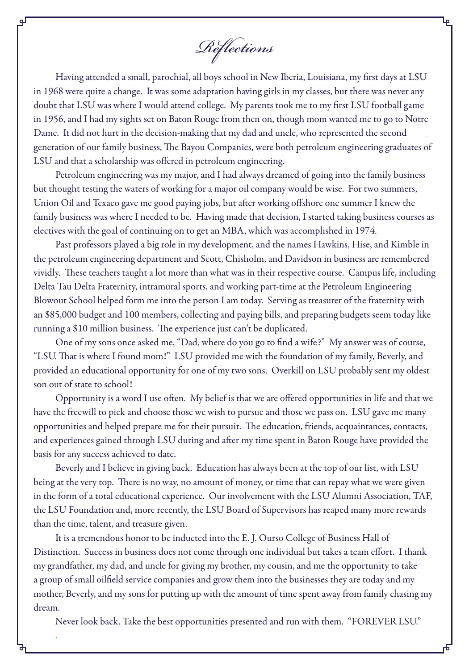*Reflections*

Having attended a small, parochial, all boys school in New Iberia, Louisiana, my first days at LSU in 1968 were quite a change. It was some adaptation having girls in my classes, but there was never any doubt that LSU was where I would attend college. My parents took me to my first LSU football game in 1956, and I had my sights set on Baton Rouge from then on, though mom wanted me to go to Notre Dame. It did not hurt in the decision-making that my dad and uncle, who represented the second generation of our family business, The Bayou Companies, were both petroleum engineering graduates of LSU and that a scholarship was offered in petroleum engineering.

Petroleum engineering was my major, and I had always dreamed of going into the family business but thought testing the waters of working for a major oil company would be wise. For two summers, Union Oil and Texaco gave me good paying jobs, but after working offshore one summer I knew the family business was where I needed to be. Having made that decision, I started taking business courses as electives with the goal of continuing on to get an MBA, which was accomplished in 1974.

Past professors played a big role in my development, and the names Hawkins, Hise, and Kimble in the petroleum engineering department and Scott, Chisholm, and Davidson in business are remembered vividly. These teachers taught a lot more than what was in their respective course. Campus life, including Delta Tau Delta Fraternity, intramural sports, and working part-time at the Petroleum Engineering Blowout School helped form me into the person I am today. Serving as treasurer of the fraternity with an \$85,000 budget and 100 members, collecting and paying bills, and preparing budgets seem today like running a \$10 million business. The experience just can't be duplicated.

One of my sons once asked me, "Dad, where do you go to find a wife?" My answer was of course, "LSU. That is where I found mom!" LSU provided me with the foundation of my family, Beverly, and provided an educational opportunity for one of my two sons. Overkill on LSU probably sent my oldest son out of state to school!

Opportunity is a word I use often. My belief is that we are offered opportunities in life and that we have the freewill to pick and choose those we wish to pursue and those we pass on. LSU gave me many opportunities and helped prepare me for their pursuit. The education, friends, acquaintances, contacts, and experiences gained through LSU during and after my time spent in Baton Rouge have provided the basis for any success achieved to date.

Beverly and I believe in giving back. Education has always been at the top of our list, with LSU being at the very top. There is no way, no amount of money, or time that can repay what we were given in the form of a total educational experience. Our involvement with the LSU Alumni Association, TAF, the LSU Foundation and, more recently, the LSU Board of Supervisors has reaped many more rewards than the time, talent, and treasure given.

It is a tremendous honor to be inducted into the E. J. Ourso College of Business Hall of Distinction. Success in business does not come through one individual but takes a team effort. I thank my grandfather, my dad, and uncle for giving my brother, my cousin, and me the opportunity to take a group of small oilfield service companies and grow them into the businesses they are today and my mother, Beverly, and my sons for putting up with the amount of time spent away from family chasing my dream.

Never look back. Take the best opportunities presented and run with them. "FOREVER LSU."

.

qГ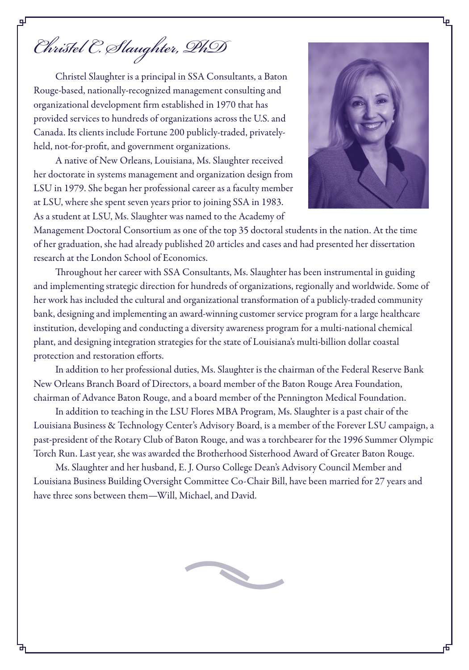*Christel C. Slaughter, PhD*

Christel Slaughter is a principal in SSA Consultants, a Baton Rouge-based, nationally-recognized management consulting and organizational development firm established in 1970 that has provided services to hundreds of organizations across the U.S. and Canada. Its clients include Fortune 200 publicly-traded, privatelyheld, not-for-profit, and government organizations.

A native of New Orleans, Louisiana, Ms. Slaughter received her doctorate in systems management and organization design from LSU in 1979. She began her professional career as a faculty member at LSU, where she spent seven years prior to joining SSA in 1983. As a student at LSU, Ms. Slaughter was named to the Academy of



Management Doctoral Consortium as one of the top 35 doctoral students in the nation. At the time of her graduation, she had already published 20 articles and cases and had presented her dissertation research at the London School of Economics.

Throughout her career with SSA Consultants, Ms. Slaughter has been instrumental in guiding and implementing strategic direction for hundreds of organizations, regionally and worldwide. Some of her work has included the cultural and organizational transformation of a publicly-traded community bank, designing and implementing an award-winning customer service program for a large healthcare institution, developing and conducting a diversity awareness program for a multi-national chemical plant, and designing integration strategies for the state of Louisiana's multi-billion dollar coastal protection and restoration efforts.

In addition to her professional duties, Ms. Slaughter is the chairman of the Federal Reserve Bank New Orleans Branch Board of Directors, a board member of the Baton Rouge Area Foundation, chairman of Advance Baton Rouge, and a board member of the Pennington Medical Foundation.

In addition to teaching in the LSU Flores MBA Program, Ms. Slaughter is a past chair of the Louisiana Business & Technology Center's Advisory Board, is a member of the Forever LSU campaign, a past-president of the Rotary Club of Baton Rouge, and was a torchbearer for the 1996 Summer Olympic Torch Run. Last year, she was awarded the Brotherhood Sisterhood Award of Greater Baton Rouge.

Ms. Slaughter and her husband, E. J. Ourso College Dean's Advisory Council Member and Louisiana Business Building Oversight Committee Co-Chair Bill, have been married for 27 years and have three sons between them—Will, Michael, and David.

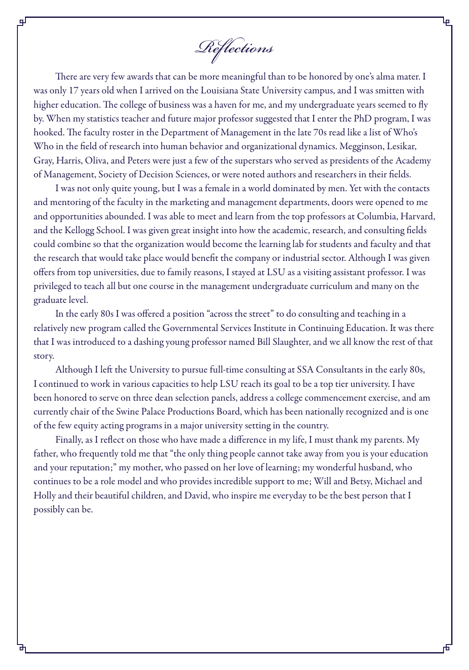*Reflections*

There are very few awards that can be more meaningful than to be honored by one's alma mater. I was only 17 years old when I arrived on the Louisiana State University campus, and I was smitten with higher education. The college of business was a haven for me, and my undergraduate years seemed to fly by. When my statistics teacher and future major professor suggested that I enter the PhD program, I was hooked. The faculty roster in the Department of Management in the late 70s read like a list of Who's Who in the field of research into human behavior and organizational dynamics. Megginson, Lesikar, Gray, Harris, Oliva, and Peters were just a few of the superstars who served as presidents of the Academy of Management, Society of Decision Sciences, or were noted authors and researchers in their fields.

I was not only quite young, but I was a female in a world dominated by men. Yet with the contacts and mentoring of the faculty in the marketing and management departments, doors were opened to me and opportunities abounded. I was able to meet and learn from the top professors at Columbia, Harvard, and the Kellogg School. I was given great insight into how the academic, research, and consulting fields could combine so that the organization would become the learning lab for students and faculty and that the research that would take place would benefit the company or industrial sector. Although I was given offers from top universities, due to family reasons, I stayed at LSU as a visiting assistant professor. I was privileged to teach all but one course in the management undergraduate curriculum and many on the graduate level.

In the early 80s I was offered a position "across the street" to do consulting and teaching in a relatively new program called the Governmental Services Institute in Continuing Education. It was there that I was introduced to a dashing young professor named Bill Slaughter, and we all know the rest of that story.

Although I left the University to pursue full-time consulting at SSA Consultants in the early 80s, I continued to work in various capacities to help LSU reach its goal to be a top tier university. I have been honored to serve on three dean selection panels, address a college commencement exercise, and am currently chair of the Swine Palace Productions Board, which has been nationally recognized and is one of the few equity acting programs in a major university setting in the country.

Finally, as I reflect on those who have made a difference in my life, I must thank my parents. My father, who frequently told me that "the only thing people cannot take away from you is your education and your reputation;" my mother, who passed on her love of learning; my wonderful husband, who continues to be a role model and who provides incredible support to me; Will and Betsy, Michael and Holly and their beautiful children, and David, who inspire me everyday to be the best person that I possibly can be.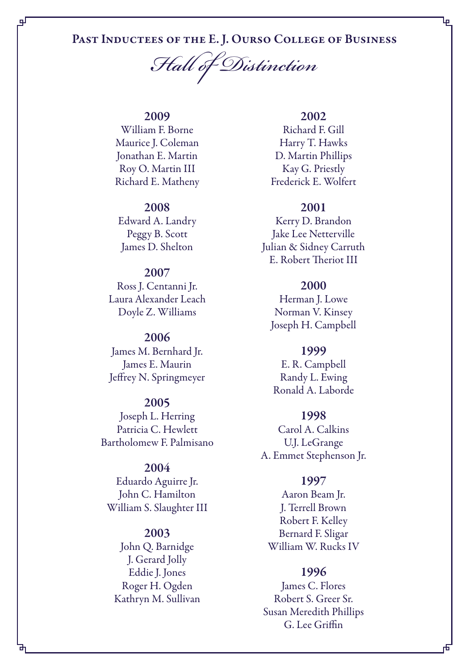# PAST INDUCTEES OF THE E. J. OURSO COLLEGE OF BUSINESS

*Hall of Distinction*

## 2009

qГ

William F. Borne Maurice J. Coleman Jonathan E. Martin Roy O. Martin III Richard E. Matheny

#### 2008

Edward A. Landry Peggy B. Scott James D. Shelton

# 2007

Ross J. Centanni Jr. Laura Alexander Leach Doyle Z. Williams

#### 2006

James M. Bernhard Jr. James E. Maurin Jeffrey N. Springmeyer

## 2005

Joseph L. Herring Patricia C. Hewlett Bartholomew F. Palmisano

#### 2004

Eduardo Aguirre Jr. John C. Hamilton William S. Slaughter III

#### 2003

John Q. Barnidge J. Gerard Jolly Eddie J. Jones Roger H. Ogden Kathryn M. Sullivan

#### 2002

Ļρ

Richard F. Gill Harry T. Hawks D. Martin Phillips Kay G. Priestly Frederick E. Wolfert

#### 2001

Kerry D. Brandon Jake Lee Netterville Julian & Sidney Carruth E. Robert Theriot III

#### 2000

Herman J. Lowe Norman V. Kinsey Joseph H. Campbell

#### 1999

E. R. Campbell Randy L. Ewing Ronald A. Laborde

#### 1998

Carol A. Calkins U.J. LeGrange A. Emmet Stephenson Jr.

#### 1997

Aaron Beam Jr. J. Terrell Brown Robert F. Kelley Bernard F. Sligar William W. Rucks IV

#### 1996

James C. Flores Robert S. Greer Sr. Susan Meredith Phillips G. Lee Griffin